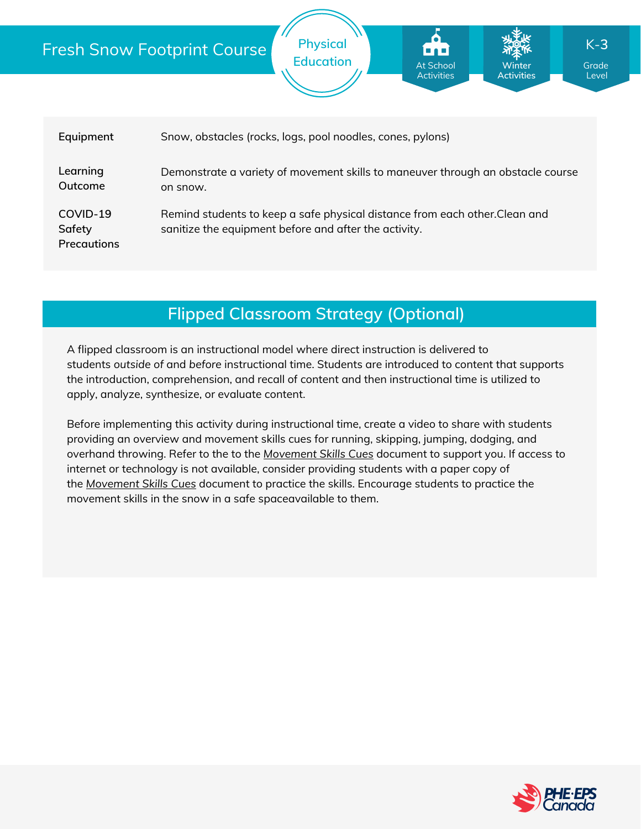|  |                                                                                                                                                                                  | <b>Physical</b><br>$K-3$<br><b>Fresh Snow Footprint Course</b><br><b>Education</b><br>At School<br><b>Winter</b><br>Grade<br><b>Activities</b><br><b>Activities</b><br>Level |  |  |  |  |
|--|----------------------------------------------------------------------------------------------------------------------------------------------------------------------------------|------------------------------------------------------------------------------------------------------------------------------------------------------------------------------|--|--|--|--|
|  | Equipment                                                                                                                                                                        | Snow, obstacles (rocks, logs, pool noodles, cones, pylons)                                                                                                                   |  |  |  |  |
|  | Learning<br>Outcome                                                                                                                                                              | Demonstrate a variety of movement skills to maneuver through an obstacle course<br>on snow.                                                                                  |  |  |  |  |
|  | COVID-19<br>Remind students to keep a safe physical distance from each other. Clean and<br>sanitize the equipment before and after the activity.<br>Safety<br><b>Precautions</b> |                                                                                                                                                                              |  |  |  |  |

# **Flipped Classroom Strategy (Optional)**

A flipped classroom is an instructional model where direct instruction is delivered to students *outside of* and *before* instructional time. Students are introduced to content that supports the introduction, comprehension, and recall of content and then instructional time is utilized to apply, analyze, synthesize, or evaluate content.

Before implementing this activity during instructional time, create a video to share with students providing an overview and movement skills cues for running, skipping, jumping, dodging, and overhand throwing. Refer to the to the *[Movement](https://phecanada.ca/sites/default/files/content/docs/Home%20Learning%20Resource/Movement%20Cues/Movement%20Skills%20Cues%201.pdf) Skills Cues* document to support you. If access to internet or technology is not available, consider providing students with a paper copy of the *[Movement](https://phecanada.ca/sites/default/files/content/docs/Home%20Learning%20Resource/Movement%20Cues/Movement%20Skills%20Cues%201.pdf) Skills Cues* document to practice the skills. Encourage students to practice the movement skills in the snow in a safe spaceavailable to them.

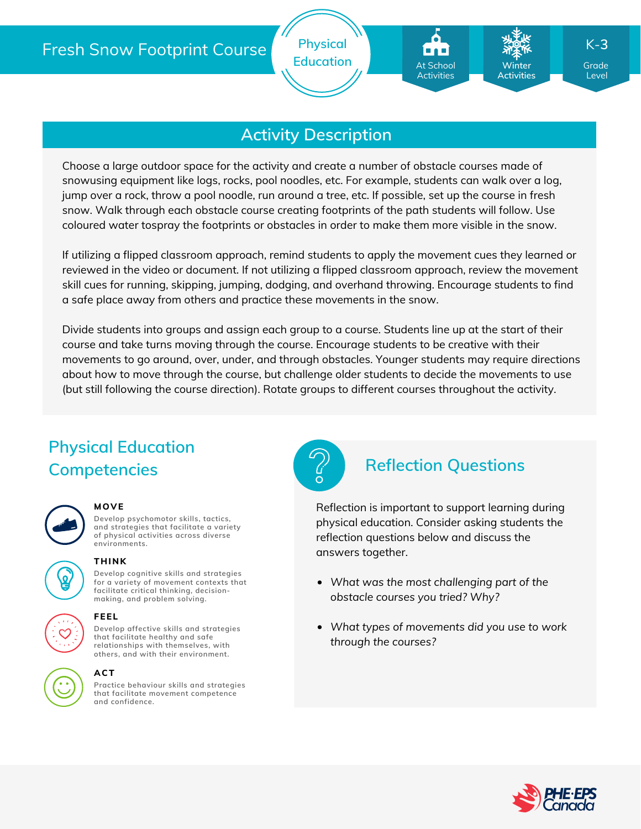

## **Activity Description**

Choose a large outdoor space for the activity and create a number of obstacle courses made of snowusing equipment like logs, rocks, pool noodles, etc. For example, students can walk over a log, jump over a rock, throw a pool noodle, run around a tree, etc. If possible, set up the course in fresh snow. Walk through each obstacle course creating footprints of the path students will follow. Use coloured water tospray the footprints or obstacles in order to make them more visible in the snow.

If utilizing a flipped classroom approach, remind students to apply the movement cues they learned or reviewed in the video or document. If not utilizing a flipped classroom approach, review the movement skill cues for running, skipping, jumping, dodging, and overhand throwing. Encourage students to find a safe place away from others and practice these movements in the snow.

Divide students into groups and assign each group to a course. Students line up at the start of their course and take turns moving through the course. Encourage students to be creative with their movements to go around, over, under, and through obstacles. Younger students may require directions about how to move through the course, but challenge older students to decide the movements to use (but still following the course direction). Rotate groups to different courses throughout the activity.

# **Physical Education Competencies Reflection Questions**



#### **MOVE**

**Develop psychomotor skills, tactics, and strategies that facilitate a variety of physical activities across diverse environments.**



#### **THINK**

**Develop cognitive skills and strategies for a variety of movement contexts that facilitate critical thinking, decision making, and problem solving.**



#### **FEEL**

**Develop affective skills and strategies that facilitate healthy and safe relationships with themselves, with others, and with their environment.**



#### **ACT**

**Practice behaviour skills and strategies that facilitate movement competence and confidence.**



Reflection is important to support learning during physical education. Consider asking students the reflection questions below and discuss the answers together.

- *What was the most challenging part of the obstacle courses you tried? Why?*
- *What types of movements did you use to work through the courses?*



Level

K-**3**

**Winter Activities**

At School Activities